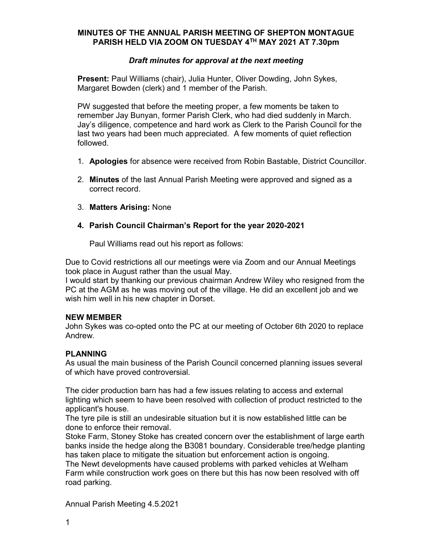## MINUTES OF THE ANNUAL PARISH MEETING OF SHEPTON MONTAGUE PARISH HELD VIA ZOOM ON TUESDAY 4TH MAY 2021 AT 7.30pm

## Draft minutes for approval at the next meeting

Present: Paul Williams (chair), Julia Hunter, Oliver Dowding, John Sykes, Margaret Bowden (clerk) and 1 member of the Parish.

PW suggested that before the meeting proper, a few moments be taken to remember Jay Bunyan, former Parish Clerk, who had died suddenly in March. Jay's diligence, competence and hard work as Clerk to the Parish Council for the last two years had been much appreciated. A few moments of quiet reflection followed.

- 1. Apologies for absence were received from Robin Bastable, District Councillor.
- 2. Minutes of the last Annual Parish Meeting were approved and signed as a correct record.
- 3. Matters Arising: None

### 4. Parish Council Chairman's Report for the year 2020-2021

Paul Williams read out his report as follows:

Due to Covid restrictions all our meetings were via Zoom and our Annual Meetings took place in August rather than the usual May.

I would start by thanking our previous chairman Andrew Wiley who resigned from the PC at the AGM as he was moving out of the village. He did an excellent job and we wish him well in his new chapter in Dorset.

#### NEW MEMBER

John Sykes was co-opted onto the PC at our meeting of October 6th 2020 to replace Andrew.

## PLANNING

As usual the main business of the Parish Council concerned planning issues several of which have proved controversial.

The cider production barn has had a few issues relating to access and external lighting which seem to have been resolved with collection of product restricted to the applicant's house.

The tyre pile is still an undesirable situation but it is now established little can be done to enforce their removal.

Stoke Farm, Stoney Stoke has created concern over the establishment of large earth banks inside the hedge along the B3081 boundary. Considerable tree/hedge planting has taken place to mitigate the situation but enforcement action is ongoing. The Newt developments have caused problems with parked vehicles at Welham

Farm while construction work goes on there but this has now been resolved with off road parking.

Annual Parish Meeting 4.5.2021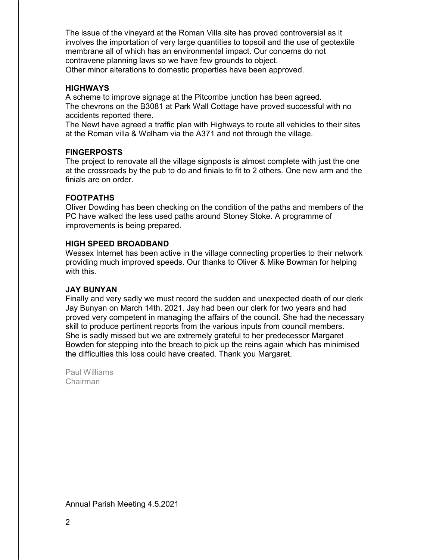The issue of the vineyard at the Roman Villa site has proved controversial as it involves the importation of very large quantities to topsoil and the use of geotextile membrane all of which has an environmental impact. Our concerns do not contravene planning laws so we have few grounds to object. Other minor alterations to domestic properties have been approved.

### **HIGHWAYS**

A scheme to improve signage at the Pitcombe junction has been agreed. The chevrons on the B3081 at Park Wall Cottage have proved successful with no accidents reported there.

The Newt have agreed a traffic plan with Highways to route all vehicles to their sites at the Roman villa & Welham via the A371 and not through the village.

### **FINGERPOSTS**

The project to renovate all the village signposts is almost complete with just the one at the crossroads by the pub to do and finials to fit to 2 others. One new arm and the finials are on order.

### FOOTPATHS

Oliver Dowding has been checking on the condition of the paths and members of the PC have walked the less used paths around Stoney Stoke. A programme of improvements is being prepared.

#### HIGH SPEED BROADBAND

Wessex Internet has been active in the village connecting properties to their network providing much improved speeds. Our thanks to Oliver & Mike Bowman for helping with this.

#### JAY BUNYAN

Finally and very sadly we must record the sudden and unexpected death of our clerk Jay Bunyan on March 14th. 2021. Jay had been our clerk for two years and had proved very competent in managing the affairs of the council. She had the necessary skill to produce pertinent reports from the various inputs from council members. She is sadly missed but we are extremely grateful to her predecessor Margaret Bowden for stepping into the breach to pick up the reins again which has minimised the difficulties this loss could have created. Thank you Margaret.

Paul Williams Chairman